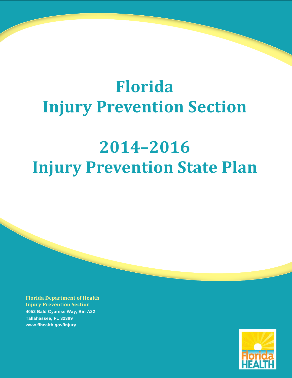## **Florida Injury Prevention Section**

## **2014–2016 Injury Prevention State Plan**

**Florida Department of Health Injury Prevention Section 4052 Bald Cypress Way, Bin A22 Tallahassee, FL 32399 www.flhealth.gov/injury**